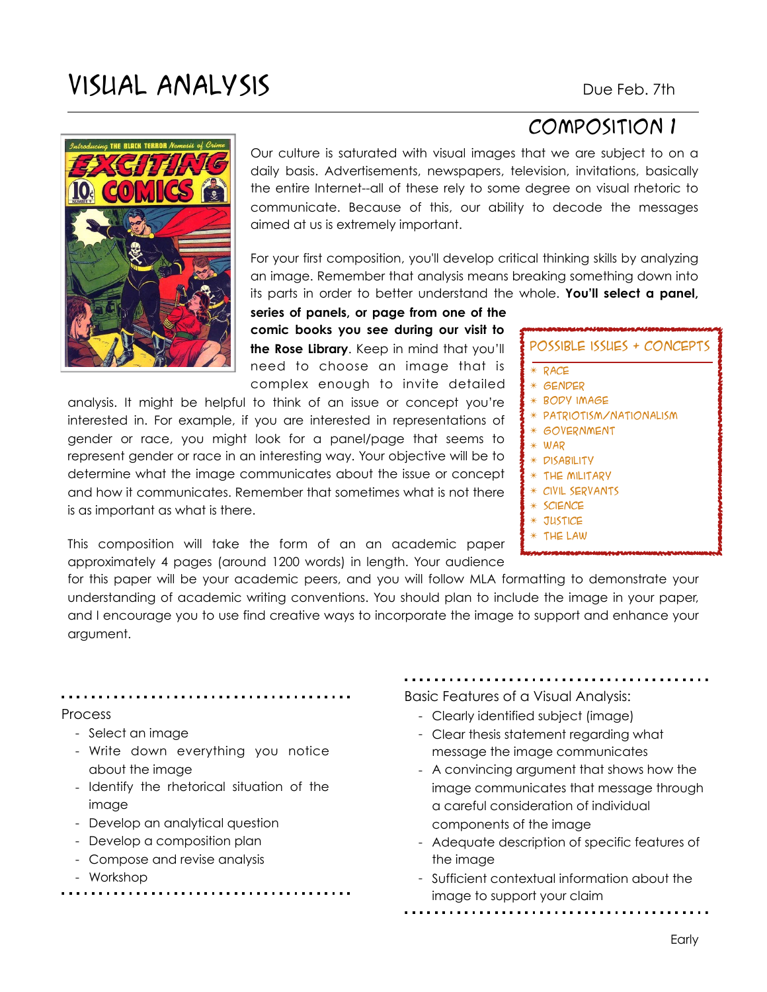# VISUAL ANALYSIS Due Feb. 7th

# Composition 1



Our culture is saturated with visual images that we are subject to on a daily basis. Advertisements, newspapers, television, invitations, basically the entire Internet--all of these rely to some degree on visual rhetoric to communicate. Because of this, our ability to decode the messages aimed at us is extremely important.

For your first composition, you'll develop critical thinking skills by analyzing an image. Remember that analysis means breaking something down into its parts in order to better understand the whole. **You'll select a panel,**

**series of panels, or page from one of the comic books you see during our visit to the Rose Library**. Keep in mind that you'll need to choose an image that is complex enough to invite detailed

analysis. It might be helpful to think of an issue or concept you're interested in. For example, if you are interested in representations of gender or race, you might look for a panel/page that seems to represent gender or race in an interesting way. Your objective will be to determine what the image communicates about the issue or concept and how it communicates. Remember that sometimes what is not there is as important as what is there.

This composition will take the form of an an academic paper approximately 4 pages (around 1200 words) in length. Your audience

for this paper will be your academic peers, and you will follow MLA formatting to demonstrate your understanding of academic writing conventions. You should plan to include the image in your paper, and I encourage you to use find creative ways to incorporate the image to support and enhance your argument.

#### . . . . . . . . . . . . . . .

#### Process

- Select an image
- Write down everything you notice about the image
- Identify the rhetorical situation of the image
- Develop an analytical question
- Develop a composition plan
- Compose and revise analysis
- Workshop

Basic Features of a Visual Analysis:

- Clearly identified subject (image)
- Clear thesis statement regarding what message the image communicates
- A convincing argument that shows how the image communicates that message through a careful consideration of individual components of the image
- Adequate description of specific features of the image
- Sufficient contextual information about the image to support your claim

| POSSIBLE ISSUES + CONCEPTS |
|----------------------------|
| $*$ RACE                   |
| * GENDER                   |
| * BODY IMAGE               |
| * PATRIOTISM/NATIONALISM   |
| * GOVERNMENT               |
| $*$ WAR                    |
| * DISABILITY               |
| $*$ THE MILITARY           |
| * CIVIL SERVANTS           |
| * SCIENCE                  |
| $*$ JUSTICE                |
| $\ast$ THE LAW             |
|                            |